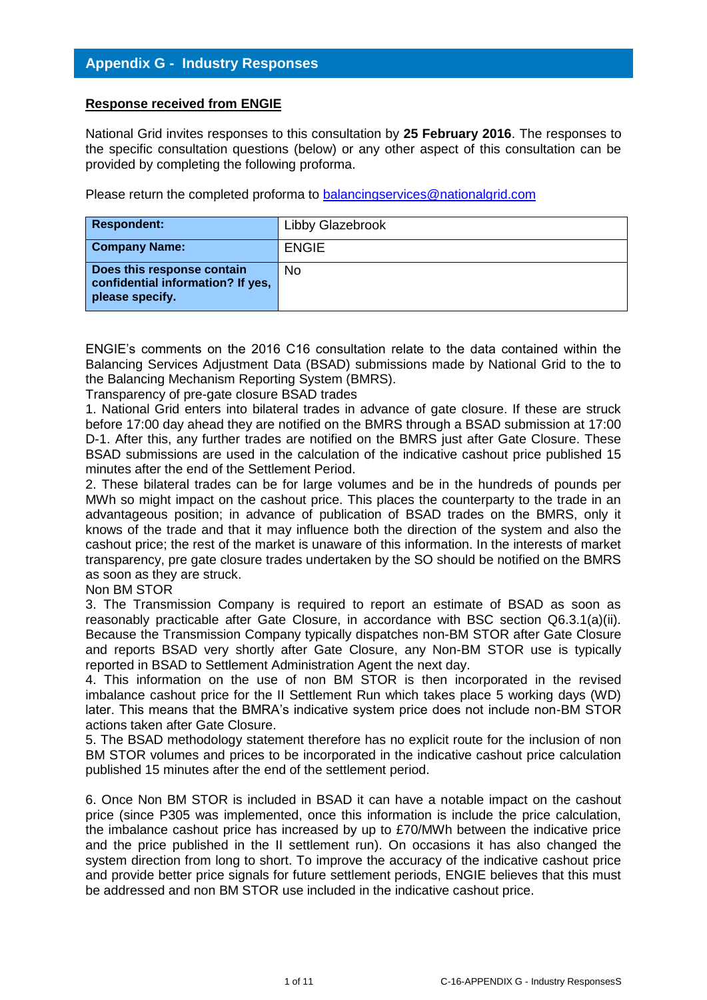## **Response received from ENGIE**

National Grid invites responses to this consultation by **25 February 2016**. The responses to the specific consultation questions (below) or any other aspect of this consultation can be provided by completing the following proforma.

Please return the completed proforma to [balancingservices@nationalgrid.com](mailto:balancingservices@nationalgrid.com)

| <b>Respondent:</b>                                                                 | Libby Glazebrook |
|------------------------------------------------------------------------------------|------------------|
| <b>Company Name:</b>                                                               | <b>ENGIE</b>     |
| Does this response contain<br>confidential information? If yes,<br>please specify. | <b>No</b>        |

ENGIE's comments on the 2016 C16 consultation relate to the data contained within the Balancing Services Adjustment Data (BSAD) submissions made by National Grid to the to the Balancing Mechanism Reporting System (BMRS).

Transparency of pre-gate closure BSAD trades

1. National Grid enters into bilateral trades in advance of gate closure. If these are struck before 17:00 day ahead they are notified on the BMRS through a BSAD submission at 17:00 D-1. After this, any further trades are notified on the BMRS just after Gate Closure. These BSAD submissions are used in the calculation of the indicative cashout price published 15 minutes after the end of the Settlement Period.

2. These bilateral trades can be for large volumes and be in the hundreds of pounds per MWh so might impact on the cashout price. This places the counterparty to the trade in an advantageous position; in advance of publication of BSAD trades on the BMRS, only it knows of the trade and that it may influence both the direction of the system and also the cashout price; the rest of the market is unaware of this information. In the interests of market transparency, pre gate closure trades undertaken by the SO should be notified on the BMRS as soon as they are struck.

Non BM STOR

3. The Transmission Company is required to report an estimate of BSAD as soon as reasonably practicable after Gate Closure, in accordance with BSC section Q6.3.1(a)(ii). Because the Transmission Company typically dispatches non-BM STOR after Gate Closure and reports BSAD very shortly after Gate Closure, any Non-BM STOR use is typically reported in BSAD to Settlement Administration Agent the next day.

4. This information on the use of non BM STOR is then incorporated in the revised imbalance cashout price for the II Settlement Run which takes place 5 working days (WD) later. This means that the BMRA's indicative system price does not include non-BM STOR actions taken after Gate Closure.

5. The BSAD methodology statement therefore has no explicit route for the inclusion of non BM STOR volumes and prices to be incorporated in the indicative cashout price calculation published 15 minutes after the end of the settlement period.

6. Once Non BM STOR is included in BSAD it can have a notable impact on the cashout price (since P305 was implemented, once this information is include the price calculation, the imbalance cashout price has increased by up to £70/MWh between the indicative price and the price published in the II settlement run). On occasions it has also changed the system direction from long to short. To improve the accuracy of the indicative cashout price and provide better price signals for future settlement periods, ENGIE believes that this must be addressed and non BM STOR use included in the indicative cashout price.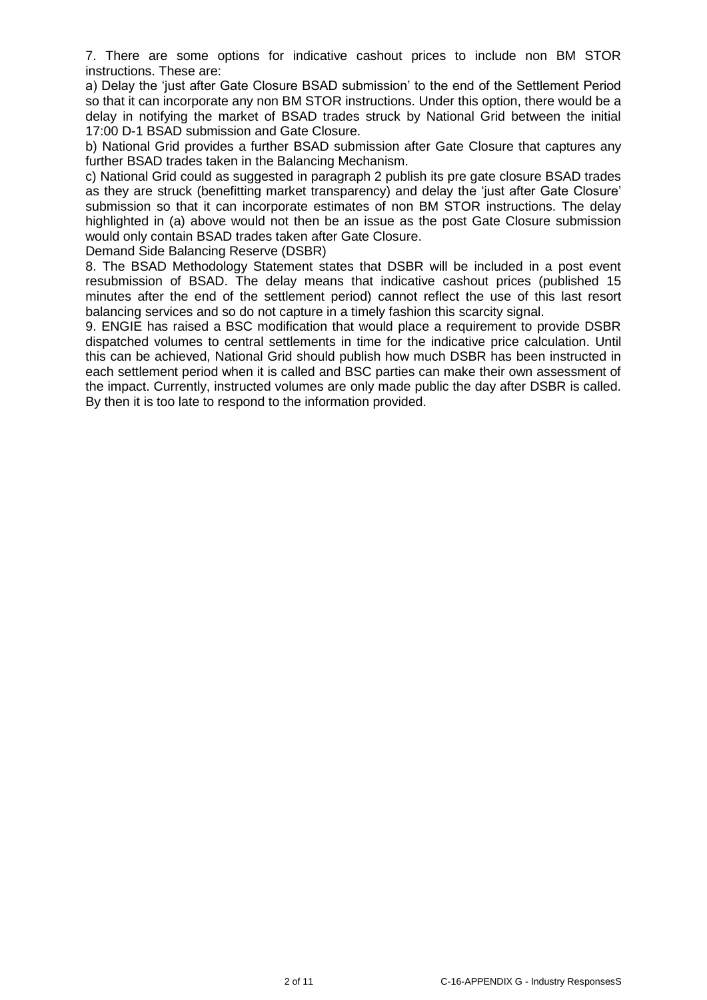7. There are some options for indicative cashout prices to include non BM STOR instructions. These are:

a) Delay the 'just after Gate Closure BSAD submission' to the end of the Settlement Period so that it can incorporate any non BM STOR instructions. Under this option, there would be a delay in notifying the market of BSAD trades struck by National Grid between the initial 17:00 D-1 BSAD submission and Gate Closure.

b) National Grid provides a further BSAD submission after Gate Closure that captures any further BSAD trades taken in the Balancing Mechanism.

c) National Grid could as suggested in paragraph 2 publish its pre gate closure BSAD trades as they are struck (benefitting market transparency) and delay the 'just after Gate Closure' submission so that it can incorporate estimates of non BM STOR instructions. The delay highlighted in (a) above would not then be an issue as the post Gate Closure submission would only contain BSAD trades taken after Gate Closure.

Demand Side Balancing Reserve (DSBR)

8. The BSAD Methodology Statement states that DSBR will be included in a post event resubmission of BSAD. The delay means that indicative cashout prices (published 15 minutes after the end of the settlement period) cannot reflect the use of this last resort balancing services and so do not capture in a timely fashion this scarcity signal.

9. ENGIE has raised a BSC modification that would place a requirement to provide DSBR dispatched volumes to central settlements in time for the indicative price calculation. Until this can be achieved, National Grid should publish how much DSBR has been instructed in each settlement period when it is called and BSC parties can make their own assessment of the impact. Currently, instructed volumes are only made public the day after DSBR is called. By then it is too late to respond to the information provided.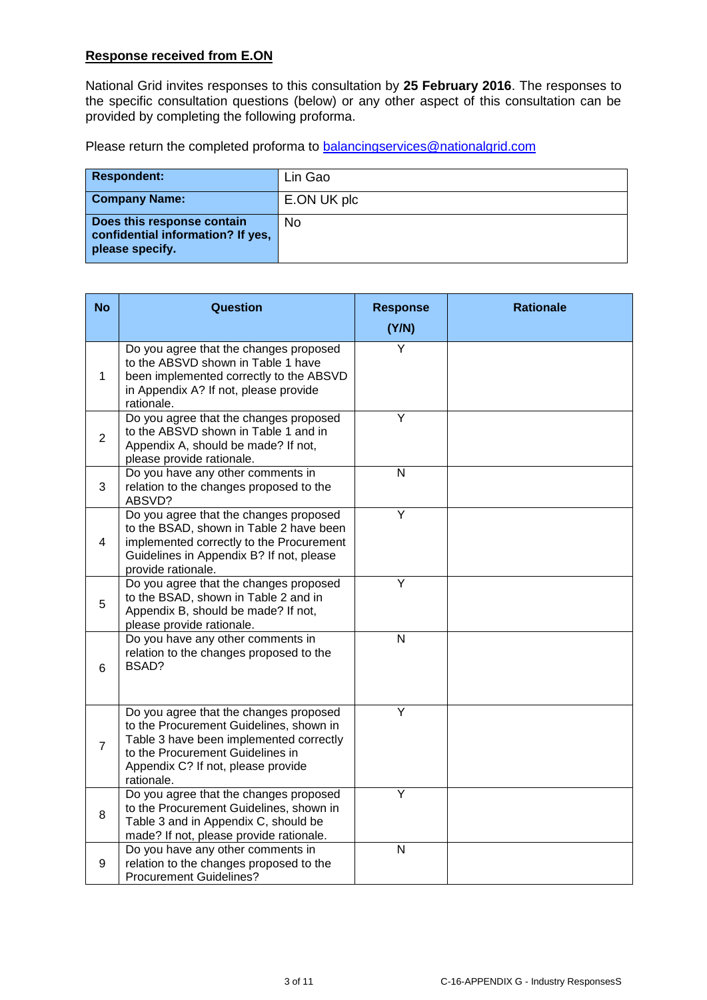## **Response received from E.ON**

National Grid invites responses to this consultation by **25 February 2016**. The responses to the specific consultation questions (below) or any other aspect of this consultation can be provided by completing the following proforma.

Please return the completed proforma to **balancingservices@nationalgrid.com** 

| <b>Respondent:</b>                                                                 | Lin Gao     |
|------------------------------------------------------------------------------------|-------------|
| <b>Company Name:</b>                                                               | E.ON UK plc |
| Does this response contain<br>confidential information? If yes,<br>please specify. | <b>No</b>   |

| <b>No</b>      | <b>Question</b>                                                                                                                                                                                                      | <b>Response</b><br>(Y/N) | <b>Rationale</b> |
|----------------|----------------------------------------------------------------------------------------------------------------------------------------------------------------------------------------------------------------------|--------------------------|------------------|
| $\mathbf{1}$   | Do you agree that the changes proposed<br>to the ABSVD shown in Table 1 have<br>been implemented correctly to the ABSVD<br>in Appendix A? If not, please provide<br>rationale.                                       | Y                        |                  |
| $\overline{2}$ | Do you agree that the changes proposed<br>to the ABSVD shown in Table 1 and in<br>Appendix A, should be made? If not,<br>please provide rationale.                                                                   | Y                        |                  |
| 3              | Do you have any other comments in<br>relation to the changes proposed to the<br>ABSVD?                                                                                                                               | $\overline{N}$           |                  |
| $\overline{4}$ | Do you agree that the changes proposed<br>to the BSAD, shown in Table 2 have been<br>implemented correctly to the Procurement<br>Guidelines in Appendix B? If not, please<br>provide rationale.                      | Ÿ                        |                  |
| 5              | Do you agree that the changes proposed<br>to the BSAD, shown in Table 2 and in<br>Appendix B, should be made? If not,<br>please provide rationale.                                                                   | $\overline{Y}$           |                  |
| 6              | Do you have any other comments in<br>relation to the changes proposed to the<br>BSAD?                                                                                                                                | N                        |                  |
| $\overline{7}$ | Do you agree that the changes proposed<br>to the Procurement Guidelines, shown in<br>Table 3 have been implemented correctly<br>to the Procurement Guidelines in<br>Appendix C? If not, please provide<br>rationale. | $\overline{\mathsf{Y}}$  |                  |
| 8              | Do you agree that the changes proposed<br>to the Procurement Guidelines, shown in<br>Table 3 and in Appendix C, should be<br>made? If not, please provide rationale.                                                 | $\overline{Y}$           |                  |
| 9              | Do you have any other comments in<br>relation to the changes proposed to the<br><b>Procurement Guidelines?</b>                                                                                                       | N                        |                  |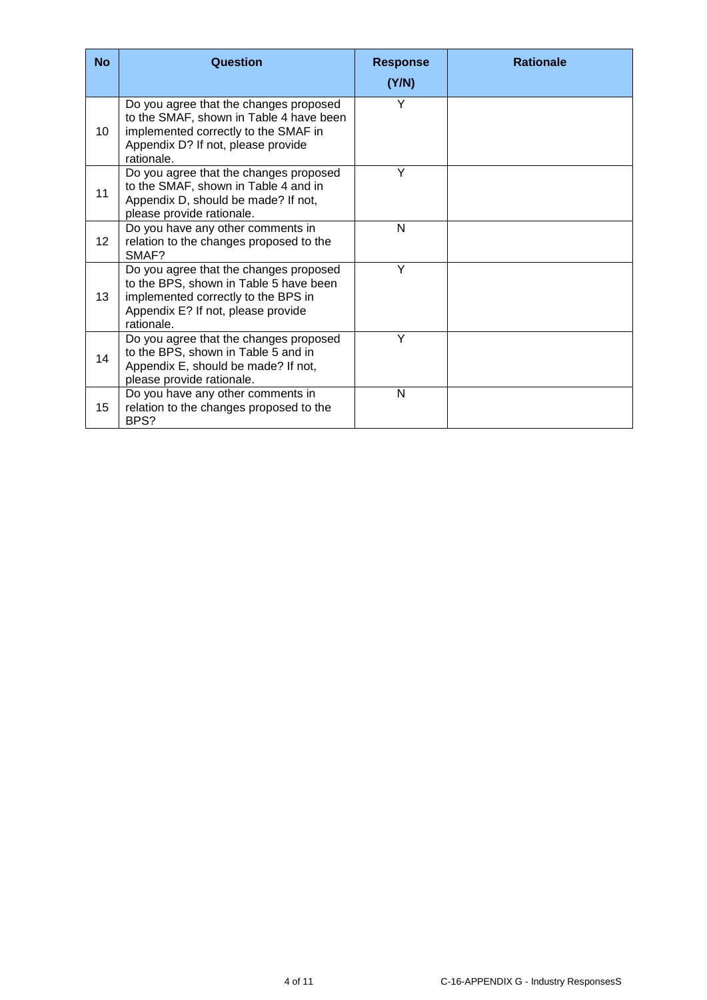| <b>No</b>       | Question                                                                                                                                                                      | <b>Response</b><br>(Y/N) | <b>Rationale</b> |
|-----------------|-------------------------------------------------------------------------------------------------------------------------------------------------------------------------------|--------------------------|------------------|
| 10              | Do you agree that the changes proposed<br>to the SMAF, shown in Table 4 have been<br>implemented correctly to the SMAF in<br>Appendix D? If not, please provide<br>rationale. | Υ                        |                  |
| 11              | Do you agree that the changes proposed<br>to the SMAF, shown in Table 4 and in<br>Appendix D, should be made? If not,<br>please provide rationale.                            | Y                        |                  |
| 12 <sup>°</sup> | Do you have any other comments in<br>relation to the changes proposed to the<br>SMAF?                                                                                         | N                        |                  |
| 13              | Do you agree that the changes proposed<br>to the BPS, shown in Table 5 have been<br>implemented correctly to the BPS in<br>Appendix E? If not, please provide<br>rationale.   | Y                        |                  |
| 14              | Do you agree that the changes proposed<br>to the BPS, shown in Table 5 and in<br>Appendix E, should be made? If not,<br>please provide rationale.                             | Υ                        |                  |
| 15              | Do you have any other comments in<br>relation to the changes proposed to the<br>BPS?                                                                                          | N                        |                  |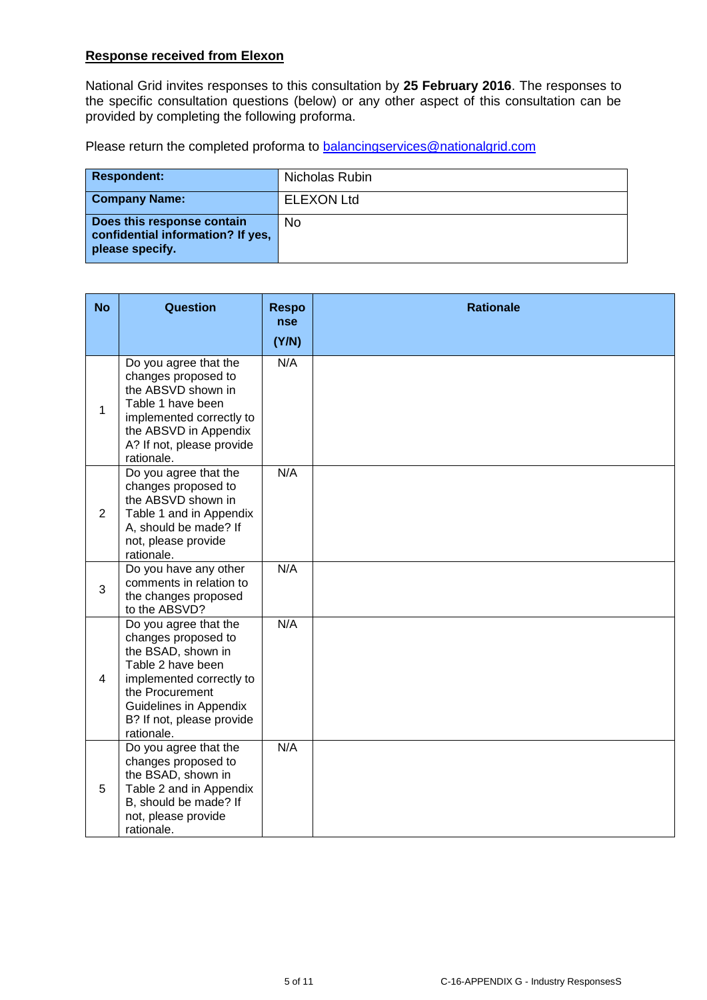## **Response received from Elexon**

National Grid invites responses to this consultation by **25 February 2016**. The responses to the specific consultation questions (below) or any other aspect of this consultation can be provided by completing the following proforma.

Please return the completed proforma to **balancingservices@nationalgrid.com** 

| <b>Respondent:</b>                                                                 | Nicholas Rubin    |
|------------------------------------------------------------------------------------|-------------------|
| <b>Company Name:</b>                                                               | <b>ELEXON Ltd</b> |
| Does this response contain<br>confidential information? If yes,<br>please specify. | <b>No</b>         |

| <b>No</b>      | <b>Question</b>                                                                                                                                                                                             | <b>Respo</b><br>nse | <b>Rationale</b> |
|----------------|-------------------------------------------------------------------------------------------------------------------------------------------------------------------------------------------------------------|---------------------|------------------|
|                |                                                                                                                                                                                                             | (Y/N)               |                  |
| $\mathbf{1}$   | Do you agree that the<br>changes proposed to<br>the ABSVD shown in<br>Table 1 have been<br>implemented correctly to<br>the ABSVD in Appendix<br>A? If not, please provide<br>rationale.                     | N/A                 |                  |
| $\overline{2}$ | Do you agree that the<br>changes proposed to<br>the ABSVD shown in<br>Table 1 and in Appendix<br>A, should be made? If<br>not, please provide<br>rationale.                                                 | N/A                 |                  |
| 3              | Do you have any other<br>comments in relation to<br>the changes proposed<br>to the ABSVD?                                                                                                                   | N/A                 |                  |
| $\overline{4}$ | Do you agree that the<br>changes proposed to<br>the BSAD, shown in<br>Table 2 have been<br>implemented correctly to<br>the Procurement<br>Guidelines in Appendix<br>B? If not, please provide<br>rationale. | N/A                 |                  |
| 5              | Do you agree that the<br>changes proposed to<br>the BSAD, shown in<br>Table 2 and in Appendix<br>B, should be made? If<br>not, please provide<br>rationale.                                                 | N/A                 |                  |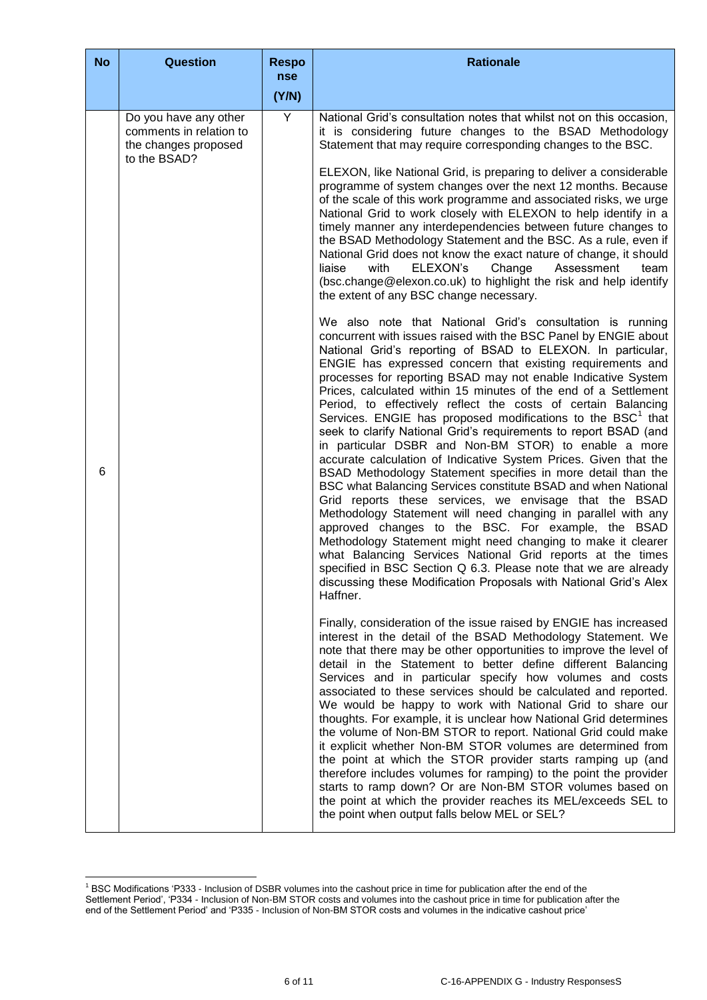| <b>No</b> | <b>Question</b>                                                                          | <b>Respo</b><br>nse | <b>Rationale</b>                                                                                                                                                                                                                                                                                                                                                                                                                                                                                                                                                                                                                                                                                                                                                                                                                                                                                                                                                                                                                                                                                                                                                                                                                                                                                                                              |
|-----------|------------------------------------------------------------------------------------------|---------------------|-----------------------------------------------------------------------------------------------------------------------------------------------------------------------------------------------------------------------------------------------------------------------------------------------------------------------------------------------------------------------------------------------------------------------------------------------------------------------------------------------------------------------------------------------------------------------------------------------------------------------------------------------------------------------------------------------------------------------------------------------------------------------------------------------------------------------------------------------------------------------------------------------------------------------------------------------------------------------------------------------------------------------------------------------------------------------------------------------------------------------------------------------------------------------------------------------------------------------------------------------------------------------------------------------------------------------------------------------|
|           |                                                                                          | (Y/N)               |                                                                                                                                                                                                                                                                                                                                                                                                                                                                                                                                                                                                                                                                                                                                                                                                                                                                                                                                                                                                                                                                                                                                                                                                                                                                                                                                               |
|           | Do you have any other<br>comments in relation to<br>the changes proposed<br>to the BSAD? | $\overline{Y}$      | National Grid's consultation notes that whilst not on this occasion,<br>it is considering future changes to the BSAD Methodology<br>Statement that may require corresponding changes to the BSC.                                                                                                                                                                                                                                                                                                                                                                                                                                                                                                                                                                                                                                                                                                                                                                                                                                                                                                                                                                                                                                                                                                                                              |
|           |                                                                                          |                     | ELEXON, like National Grid, is preparing to deliver a considerable<br>programme of system changes over the next 12 months. Because<br>of the scale of this work programme and associated risks, we urge<br>National Grid to work closely with ELEXON to help identify in a<br>timely manner any interdependencies between future changes to<br>the BSAD Methodology Statement and the BSC. As a rule, even if<br>National Grid does not know the exact nature of change, it should<br>liaise<br>with<br><b>ELEXON's</b><br>Change<br>Assessment<br>team<br>(bsc.change@elexon.co.uk) to highlight the risk and help identify<br>the extent of any BSC change necessary.                                                                                                                                                                                                                                                                                                                                                                                                                                                                                                                                                                                                                                                                       |
| 6         |                                                                                          |                     | We also note that National Grid's consultation is running<br>concurrent with issues raised with the BSC Panel by ENGIE about<br>National Grid's reporting of BSAD to ELEXON. In particular,<br>ENGIE has expressed concern that existing requirements and<br>processes for reporting BSAD may not enable Indicative System<br>Prices, calculated within 15 minutes of the end of a Settlement<br>Period, to effectively reflect the costs of certain Balancing<br>Services. ENGIE has proposed modifications to the BSC <sup>1</sup> that<br>seek to clarify National Grid's requirements to report BSAD (and<br>in particular DSBR and Non-BM STOR) to enable a more<br>accurate calculation of Indicative System Prices. Given that the<br>BSAD Methodology Statement specifies in more detail than the<br>BSC what Balancing Services constitute BSAD and when National<br>Grid reports these services, we envisage that the BSAD<br>Methodology Statement will need changing in parallel with any<br>approved changes to the BSC. For example, the BSAD<br>Methodology Statement might need changing to make it clearer<br>what Balancing Services National Grid reports at the times<br>specified in BSC Section Q 6.3. Please note that we are already<br>discussing these Modification Proposals with National Grid's Alex<br>Haffner. |
|           |                                                                                          |                     | Finally, consideration of the issue raised by ENGIE has increased<br>interest in the detail of the BSAD Methodology Statement. We<br>note that there may be other opportunities to improve the level of<br>detail in the Statement to better define different Balancing<br>Services and in particular specify how volumes and costs<br>associated to these services should be calculated and reported.<br>We would be happy to work with National Grid to share our<br>thoughts. For example, it is unclear how National Grid determines<br>the volume of Non-BM STOR to report. National Grid could make<br>it explicit whether Non-BM STOR volumes are determined from<br>the point at which the STOR provider starts ramping up (and<br>therefore includes volumes for ramping) to the point the provider<br>starts to ramp down? Or are Non-BM STOR volumes based on<br>the point at which the provider reaches its MEL/exceeds SEL to<br>the point when output falls below MEL or SEL?                                                                                                                                                                                                                                                                                                                                                   |

<sup>-</sup><sup>1</sup> BSC Modifications 'P333 - Inclusion of DSBR volumes into the cashout price in time for publication after the end of the Settlement Period', 'P334 - Inclusion of Non-BM STOR costs and volumes into the cashout price in time for publication after the end of the Settlement Period' and 'P335 - Inclusion of Non-BM STOR costs and volumes in the indicative cashout price'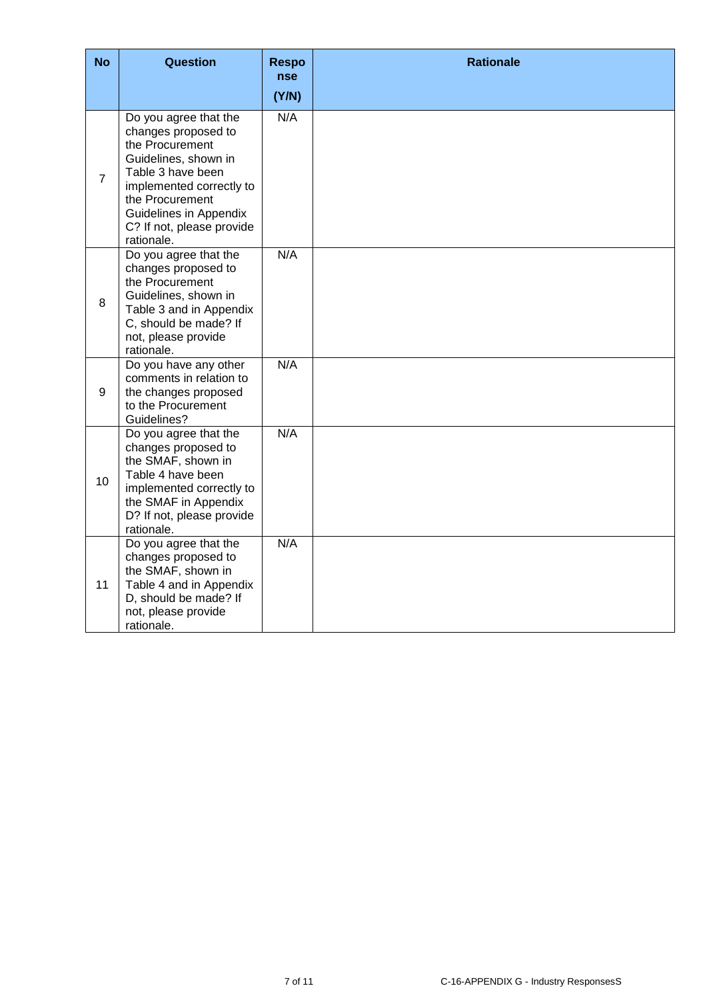| <b>No</b>      | Question                                                                                                                                                                                                                         | <b>Respo</b><br><b>nse</b> | <b>Rationale</b> |
|----------------|----------------------------------------------------------------------------------------------------------------------------------------------------------------------------------------------------------------------------------|----------------------------|------------------|
| $\overline{7}$ | Do you agree that the<br>changes proposed to<br>the Procurement<br>Guidelines, shown in<br>Table 3 have been<br>implemented correctly to<br>the Procurement<br>Guidelines in Appendix<br>C? If not, please provide<br>rationale. | (Y/N)<br>N/A               |                  |
| 8              | Do you agree that the<br>changes proposed to<br>the Procurement<br>Guidelines, shown in<br>Table 3 and in Appendix<br>C, should be made? If<br>not, please provide<br>rationale.                                                 | N/A                        |                  |
| 9              | Do you have any other<br>comments in relation to<br>the changes proposed<br>to the Procurement<br>Guidelines?                                                                                                                    | N/A                        |                  |
| 10             | Do you agree that the<br>changes proposed to<br>the SMAF, shown in<br>Table 4 have been<br>implemented correctly to<br>the SMAF in Appendix<br>D? If not, please provide<br>rationale.                                           | N/A                        |                  |
| 11             | Do you agree that the<br>changes proposed to<br>the SMAF, shown in<br>Table 4 and in Appendix<br>D, should be made? If<br>not, please provide<br>rationale.                                                                      | N/A                        |                  |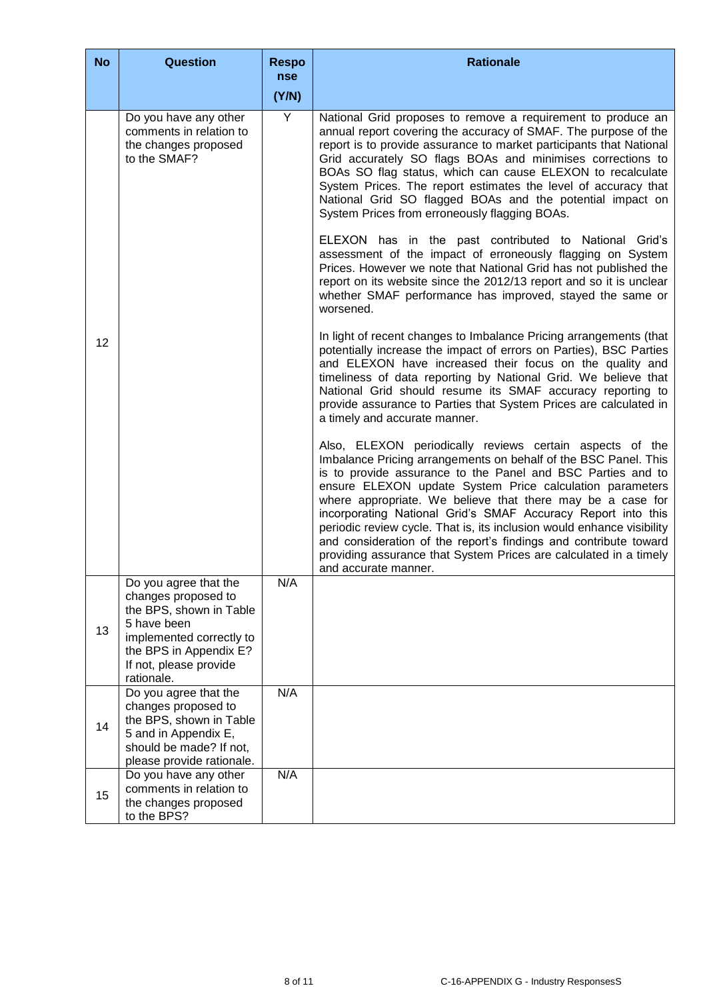| <b>No</b> | <b>Question</b>                                                                                                                                                                      | <b>Respo</b><br><b>nse</b> | <b>Rationale</b>                                                                                                                                                                                                                                                                                                                                                                                                                                                                                                                                                                                                                |
|-----------|--------------------------------------------------------------------------------------------------------------------------------------------------------------------------------------|----------------------------|---------------------------------------------------------------------------------------------------------------------------------------------------------------------------------------------------------------------------------------------------------------------------------------------------------------------------------------------------------------------------------------------------------------------------------------------------------------------------------------------------------------------------------------------------------------------------------------------------------------------------------|
|           |                                                                                                                                                                                      | (Y/N)                      |                                                                                                                                                                                                                                                                                                                                                                                                                                                                                                                                                                                                                                 |
|           | Do you have any other<br>comments in relation to<br>the changes proposed<br>to the SMAF?                                                                                             | Y                          | National Grid proposes to remove a requirement to produce an<br>annual report covering the accuracy of SMAF. The purpose of the<br>report is to provide assurance to market participants that National<br>Grid accurately SO flags BOAs and minimises corrections to<br>BOAs SO flag status, which can cause ELEXON to recalculate<br>System Prices. The report estimates the level of accuracy that<br>National Grid SO flagged BOAs and the potential impact on<br>System Prices from erroneously flagging BOAs.                                                                                                              |
|           |                                                                                                                                                                                      |                            | ELEXON has in the past contributed to National Grid's<br>assessment of the impact of erroneously flagging on System<br>Prices. However we note that National Grid has not published the<br>report on its website since the 2012/13 report and so it is unclear<br>whether SMAF performance has improved, stayed the same or<br>worsened.                                                                                                                                                                                                                                                                                        |
| 12        |                                                                                                                                                                                      |                            | In light of recent changes to Imbalance Pricing arrangements (that<br>potentially increase the impact of errors on Parties), BSC Parties<br>and ELEXON have increased their focus on the quality and<br>timeliness of data reporting by National Grid. We believe that<br>National Grid should resume its SMAF accuracy reporting to<br>provide assurance to Parties that System Prices are calculated in<br>a timely and accurate manner.                                                                                                                                                                                      |
|           |                                                                                                                                                                                      |                            | Also, ELEXON periodically reviews certain aspects of the<br>Imbalance Pricing arrangements on behalf of the BSC Panel. This<br>is to provide assurance to the Panel and BSC Parties and to<br>ensure ELEXON update System Price calculation parameters<br>where appropriate. We believe that there may be a case for<br>incorporating National Grid's SMAF Accuracy Report into this<br>periodic review cycle. That is, its inclusion would enhance visibility<br>and consideration of the report's findings and contribute toward<br>providing assurance that System Prices are calculated in a timely<br>and accurate manner. |
| 13        | Do you agree that the<br>changes proposed to<br>the BPS, shown in Table<br>5 have been<br>implemented correctly to<br>the BPS in Appendix E?<br>If not, please provide<br>rationale. | N/A                        |                                                                                                                                                                                                                                                                                                                                                                                                                                                                                                                                                                                                                                 |
| 14        | Do you agree that the<br>changes proposed to<br>the BPS, shown in Table<br>5 and in Appendix E,<br>should be made? If not,<br>please provide rationale.                              | N/A                        |                                                                                                                                                                                                                                                                                                                                                                                                                                                                                                                                                                                                                                 |
| 15        | Do you have any other<br>comments in relation to<br>the changes proposed<br>to the BPS?                                                                                              | N/A                        |                                                                                                                                                                                                                                                                                                                                                                                                                                                                                                                                                                                                                                 |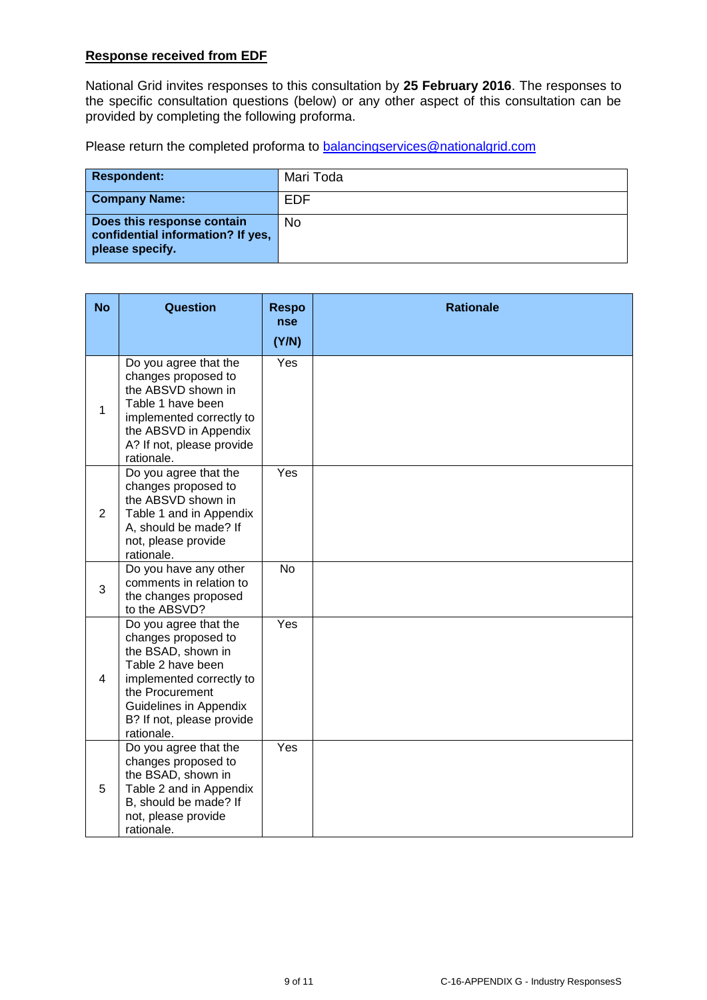## **Response received from EDF**

National Grid invites responses to this consultation by **25 February 2016**. The responses to the specific consultation questions (below) or any other aspect of this consultation can be provided by completing the following proforma.

Please return the completed proforma to **balancingservices@nationalgrid.com** 

| <b>Respondent:</b>                                                                 | Mari Toda  |
|------------------------------------------------------------------------------------|------------|
| <b>Company Name:</b>                                                               | <b>EDF</b> |
| Does this response contain<br>confidential information? If yes,<br>please specify. | No         |

| <b>No</b>      | Question                                                                                                                                                                                                           | <b>Respo</b><br><b>nse</b> | <b>Rationale</b> |
|----------------|--------------------------------------------------------------------------------------------------------------------------------------------------------------------------------------------------------------------|----------------------------|------------------|
|                |                                                                                                                                                                                                                    | (Y/N)                      |                  |
| $\mathbf{1}$   | Do you agree that the<br>changes proposed to<br>the ABSVD shown in<br>Table 1 have been<br>implemented correctly to<br>the ABSVD in Appendix<br>A? If not, please provide<br>rationale.                            | Yes                        |                  |
| $\overline{2}$ | Do you agree that the<br>changes proposed to<br>the ABSVD shown in<br>Table 1 and in Appendix<br>A, should be made? If<br>not, please provide<br>rationale.                                                        | Yes                        |                  |
| 3              | Do you have any other<br>comments in relation to<br>the changes proposed<br>to the ABSVD?                                                                                                                          | <b>No</b>                  |                  |
| $\overline{4}$ | Do you agree that the<br>changes proposed to<br>the BSAD, shown in<br>Table 2 have been<br>implemented correctly to<br>the Procurement<br><b>Guidelines in Appendix</b><br>B? If not, please provide<br>rationale. | Yes                        |                  |
| 5              | Do you agree that the<br>changes proposed to<br>the BSAD, shown in<br>Table 2 and in Appendix<br>B, should be made? If<br>not, please provide<br>rationale.                                                        | Yes                        |                  |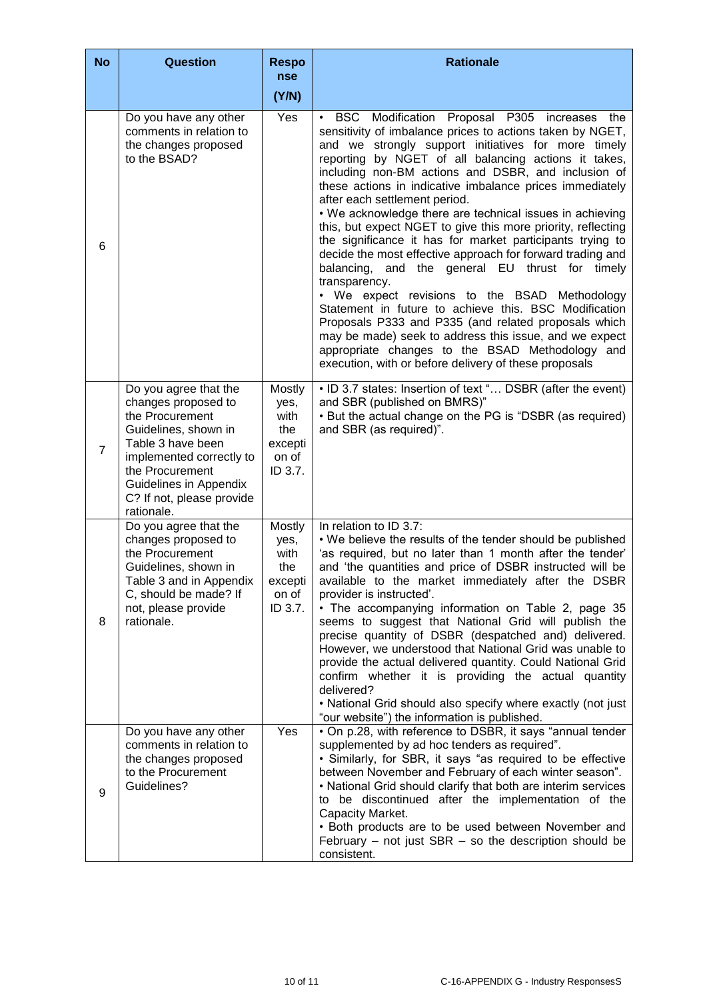| <b>No</b>      | <b>Question</b>                                                                                                                                                                                                                  | <b>Respo</b><br><b>nse</b>                                   | <b>Rationale</b>                                                                                                                                                                                                                                                                                                                                                                                                                                                                                                                                                                                                                                                                                                                                                                                                                                                                                                                                                                                                                                                |
|----------------|----------------------------------------------------------------------------------------------------------------------------------------------------------------------------------------------------------------------------------|--------------------------------------------------------------|-----------------------------------------------------------------------------------------------------------------------------------------------------------------------------------------------------------------------------------------------------------------------------------------------------------------------------------------------------------------------------------------------------------------------------------------------------------------------------------------------------------------------------------------------------------------------------------------------------------------------------------------------------------------------------------------------------------------------------------------------------------------------------------------------------------------------------------------------------------------------------------------------------------------------------------------------------------------------------------------------------------------------------------------------------------------|
|                |                                                                                                                                                                                                                                  | (Y/N)                                                        |                                                                                                                                                                                                                                                                                                                                                                                                                                                                                                                                                                                                                                                                                                                                                                                                                                                                                                                                                                                                                                                                 |
| 6              | Do you have any other<br>comments in relation to<br>the changes proposed<br>to the BSAD?                                                                                                                                         | Yes                                                          | BSC Modification Proposal P305 increases the<br>$\bullet$<br>sensitivity of imbalance prices to actions taken by NGET,<br>and we strongly support initiatives for more timely<br>reporting by NGET of all balancing actions it takes,<br>including non-BM actions and DSBR, and inclusion of<br>these actions in indicative imbalance prices immediately<br>after each settlement period.<br>• We acknowledge there are technical issues in achieving<br>this, but expect NGET to give this more priority, reflecting<br>the significance it has for market participants trying to<br>decide the most effective approach for forward trading and<br>and the general EU thrust for timely<br>balancing,<br>transparency.<br>• We expect revisions to the BSAD Methodology<br>Statement in future to achieve this. BSC Modification<br>Proposals P333 and P335 (and related proposals which<br>may be made) seek to address this issue, and we expect<br>appropriate changes to the BSAD Methodology and<br>execution, with or before delivery of these proposals |
| $\overline{7}$ | Do you agree that the<br>changes proposed to<br>the Procurement<br>Guidelines, shown in<br>Table 3 have been<br>implemented correctly to<br>the Procurement<br>Guidelines in Appendix<br>C? If not, please provide<br>rationale. | Mostly<br>yes,<br>with<br>the<br>excepti<br>on of<br>ID 3.7. | • ID 3.7 states: Insertion of text " DSBR (after the event)<br>and SBR (published on BMRS)"<br>• But the actual change on the PG is "DSBR (as required)<br>and SBR (as required)".                                                                                                                                                                                                                                                                                                                                                                                                                                                                                                                                                                                                                                                                                                                                                                                                                                                                              |
| 8              | Do you agree that the<br>changes proposed to<br>the Procurement<br>Guidelines, shown in<br>Table 3 and in Appendix<br>C, should be made? If<br>not, please provide<br>rationale.                                                 | Mostly<br>yes,<br>with<br>the<br>excepti<br>on of<br>ID 3.7. | In relation to ID 3.7:<br>• We believe the results of the tender should be published<br>'as required, but no later than 1 month after the tender'<br>and 'the quantities and price of DSBR instructed will be<br>available to the market immediately after the DSBR<br>provider is instructed'.<br>• The accompanying information on Table 2, page 35<br>seems to suggest that National Grid will publish the<br>precise quantity of DSBR (despatched and) delivered.<br>However, we understood that National Grid was unable to<br>provide the actual delivered quantity. Could National Grid<br>confirm whether it is providing the actual quantity<br>delivered?<br>• National Grid should also specify where exactly (not just<br>"our website") the information is published.                                                                                                                                                                                                                                                                              |
| 9              | Do you have any other<br>comments in relation to<br>the changes proposed<br>to the Procurement<br>Guidelines?                                                                                                                    | Yes                                                          | . On p.28, with reference to DSBR, it says "annual tender<br>supplemented by ad hoc tenders as required".<br>• Similarly, for SBR, it says "as required to be effective<br>between November and February of each winter season".<br>• National Grid should clarify that both are interim services<br>to be discontinued after the implementation of the<br>Capacity Market.<br>• Both products are to be used between November and<br>February – not just $SBR$ – so the description should be<br>consistent.                                                                                                                                                                                                                                                                                                                                                                                                                                                                                                                                                   |